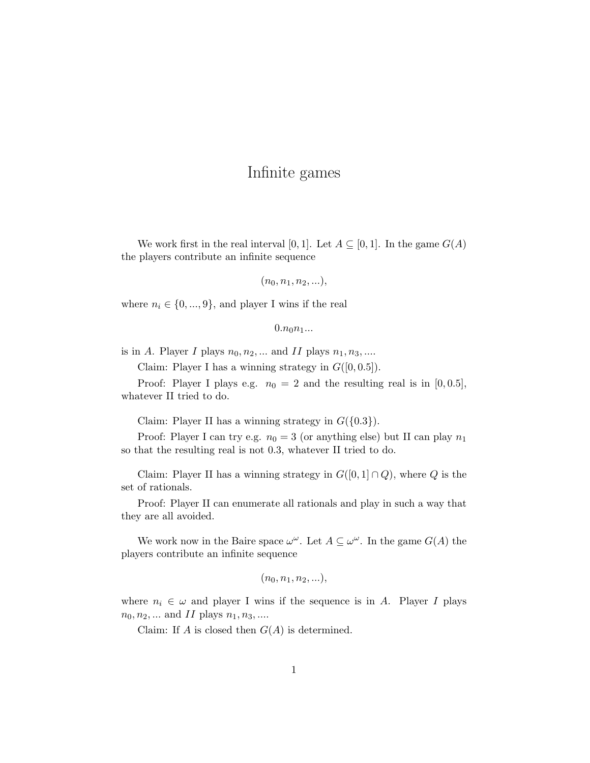## Infinite games

We work first in the real interval [0, 1]. Let  $A \subseteq [0, 1]$ . In the game  $G(A)$ the players contribute an infinite sequence

 $(n_0, n_1, n_2, \ldots),$ 

where  $n_i \in \{0, ..., 9\}$ , and player I wins if the real

 $0.n_0n_1...$ 

is in A. Player I plays  $n_0, n_2, \dots$  and II plays  $n_1, n_3, \dots$ 

Claim: Player I has a winning strategy in  $G([0, 0.5])$ .

Proof: Player I plays e.g.  $n_0 = 2$  and the resulting real is in [0,0.5], whatever II tried to do.

Claim: Player II has a winning strategy in  $G({0.3})$ .

Proof: Player I can try e.g.  $n_0 = 3$  (or anything else) but II can play  $n_1$ so that the resulting real is not 0.3, whatever II tried to do.

Claim: Player II has a winning strategy in  $G([0,1] \cap Q)$ , where Q is the set of rationals.

Proof: Player II can enumerate all rationals and play in such a way that they are all avoided.

We work now in the Baire space  $\omega^{\omega}$ . Let  $A \subseteq \omega^{\omega}$ . In the game  $G(A)$  the players contribute an infinite sequence

$$
(n_0, n_1, n_2, \ldots),
$$

where  $n_i \in \omega$  and player I wins if the sequence is in A. Player I plays  $n_0, n_2, ...$  and II plays  $n_1, n_3, ...$ 

Claim: If A is closed then  $G(A)$  is determined.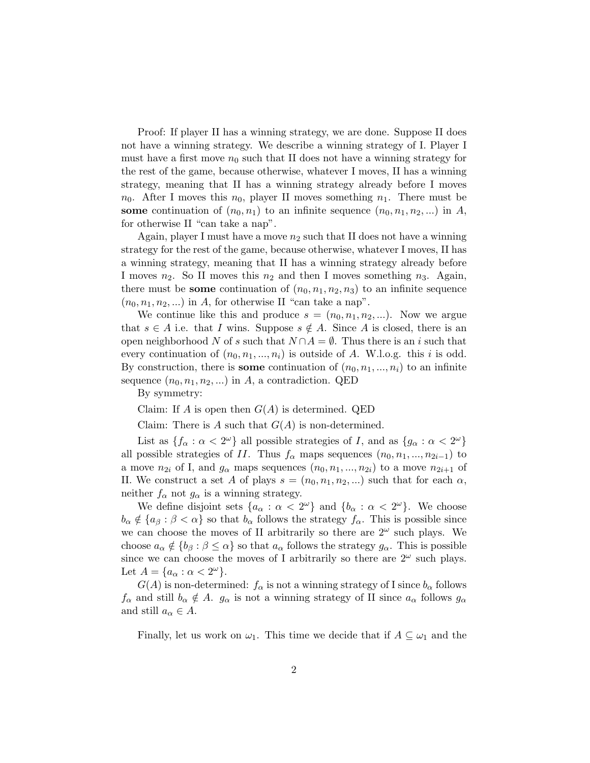Proof: If player II has a winning strategy, we are done. Suppose II does not have a winning strategy. We describe a winning strategy of I. Player I must have a first move  $n_0$  such that II does not have a winning strategy for the rest of the game, because otherwise, whatever I moves, II has a winning strategy, meaning that II has a winning strategy already before I moves  $n_0$ . After I moves this  $n_0$ , player II moves something  $n_1$ . There must be some continuation of  $(n_0, n_1)$  to an infinite sequence  $(n_0, n_1, n_2, ...)$  in A, for otherwise II "can take a nap".

Again, player I must have a move  $n_2$  such that II does not have a winning strategy for the rest of the game, because otherwise, whatever I moves, II has a winning strategy, meaning that II has a winning strategy already before I moves  $n_2$ . So II moves this  $n_2$  and then I moves something  $n_3$ . Again, there must be some continuation of  $(n_0, n_1, n_2, n_3)$  to an infinite sequence  $(n_0, n_1, n_2, ...)$  in A, for otherwise II "can take a nap".

We continue like this and produce  $s = (n_0, n_1, n_2, \ldots)$ . Now we argue that  $s \in A$  i.e. that I wins. Suppose  $s \notin A$ . Since A is closed, there is an open neighborhood N of s such that  $N \cap A = \emptyset$ . Thus there is an i such that every continuation of  $(n_0, n_1, ..., n_i)$  is outside of A. W.l.o.g. this i is odd. By construction, there is some continuation of  $(n_0, n_1, \ldots, n_i)$  to an infinite sequence  $(n_0, n_1, n_2, ...)$  in A, a contradiction. QED

By symmetry:

Claim: If A is open then  $G(A)$  is determined. QED

Claim: There is A such that  $G(A)$  is non-determined.

List as  $\{f_\alpha : \alpha < 2^\omega\}$  all possible strategies of I, and as  $\{g_\alpha : \alpha < 2^\omega\}$ all possible strategies of II. Thus  $f_{\alpha}$  maps sequences  $(n_0, n_1, ..., n_{2i-1})$  to a move  $n_{2i}$  of I, and  $g_{\alpha}$  maps sequences  $(n_0, n_1, ..., n_{2i})$  to a move  $n_{2i+1}$  of II. We construct a set A of plays  $s = (n_0, n_1, n_2, ...)$  such that for each  $\alpha$ , neither  $f_{\alpha}$  not  $g_{\alpha}$  is a winning strategy.

We define disjoint sets  $\{a_{\alpha} : \alpha < 2^{\omega}\}\$  and  $\{b_{\alpha} : \alpha < 2^{\omega}\}\$ . We choose  $b_{\alpha} \notin \{a_{\beta} : \beta < \alpha\}$  so that  $b_{\alpha}$  follows the strategy  $f_{\alpha}$ . This is possible since we can choose the moves of II arbitrarily so there are  $2^{\omega}$  such plays. We choose  $a_{\alpha} \notin \{b_{\beta} : \beta \leq \alpha\}$  so that  $a_{\alpha}$  follows the strategy  $g_{\alpha}$ . This is possible since we can choose the moves of I arbitrarily so there are  $2^{\omega}$  such plays. Let  $A = \{a_{\alpha} : \alpha < 2^{\omega}\}.$ 

 $G(A)$  is non-determined:  $f_{\alpha}$  is not a winning strategy of I since  $b_{\alpha}$  follows  $f_{\alpha}$  and still  $b_{\alpha} \notin A$ .  $g_{\alpha}$  is not a winning strategy of II since  $a_{\alpha}$  follows  $g_{\alpha}$ and still  $a_{\alpha} \in A$ .

Finally, let us work on  $\omega_1$ . This time we decide that if  $A \subseteq \omega_1$  and the